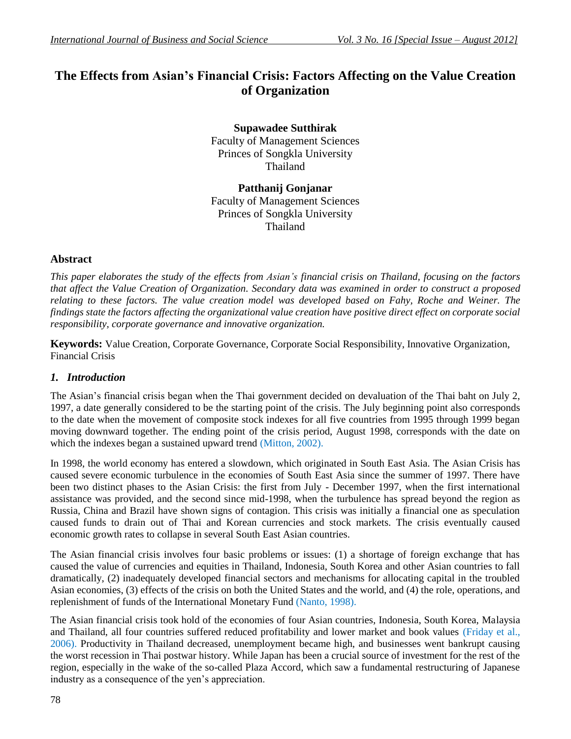# **The Effects from Asian's Financial Crisis: Factors Affecting on the Value Creation of Organization**

**Supawadee Sutthirak** Faculty of Management Sciences Princes of Songkla University Thailand

**Patthanij Gonjanar** Faculty of Management Sciences Princes of Songkla University Thailand

# **Abstract**

*This paper elaborates the study of the effects from Asian's financial crisis on Thailand, focusing on the factors that affect the Value Creation of Organization. Secondary data was examined in order to construct a proposed relating to these factors. The value creation model was developed based on Fahy, Roche and Weiner. The findings state the factors affecting the organizational value creation have positive direct effect on corporate social responsibility, corporate governance and innovative organization.*

**Keywords:** Value Creation, Corporate Governance, Corporate Social Responsibility, Innovative Organization, Financial Crisis

#### *1. Introduction*

The Asian's financial crisis began when the Thai government decided on devaluation of the Thai baht on July 2, 1997, a date generally considered to be the starting point of the crisis. The July beginning point also corresponds to the date when the movement of composite stock indexes for all five countries from 1995 through 1999 began moving downward together. The ending point of the crisis period, August 1998, corresponds with the date on which the indexes began a sustained upward trend (Mitton, 2002).

In 1998, the world economy has entered a slowdown, which originated in South East Asia. The Asian Crisis has caused severe economic turbulence in the economies of South East Asia since the summer of 1997. There have been two distinct phases to the Asian Crisis: the first from July - December 1997, when the first international assistance was provided, and the second since mid-1998, when the turbulence has spread beyond the region as Russia, China and Brazil have shown signs of contagion. This crisis was initially a financial one as speculation caused funds to drain out of Thai and Korean currencies and stock markets. The crisis eventually caused economic growth rates to collapse in several South East Asian countries.

The Asian financial crisis involves four basic problems or issues: (1) a shortage of foreign exchange that has caused the value of currencies and equities in Thailand, Indonesia, South Korea and other Asian countries to fall dramatically, (2) inadequately developed financial sectors and mechanisms for allocating capital in the troubled Asian economies, (3) effects of the crisis on both the United States and the world, and (4) the role, operations, and replenishment of funds of the International Monetary Fund (Nanto, 1998).

The Asian financial crisis took hold of the economies of four Asian countries, Indonesia, South Korea, Malaysia and Thailand, all four countries suffered reduced profitability and lower market and book values (Friday et al., 2006). Productivity in Thailand decreased, unemployment became high, and businesses went bankrupt causing the worst recession in Thai postwar history. While Japan has been a crucial source of investment for the rest of the region, especially in the wake of the so-called Plaza Accord, which saw a fundamental restructuring of Japanese industry as a consequence of the yen's appreciation.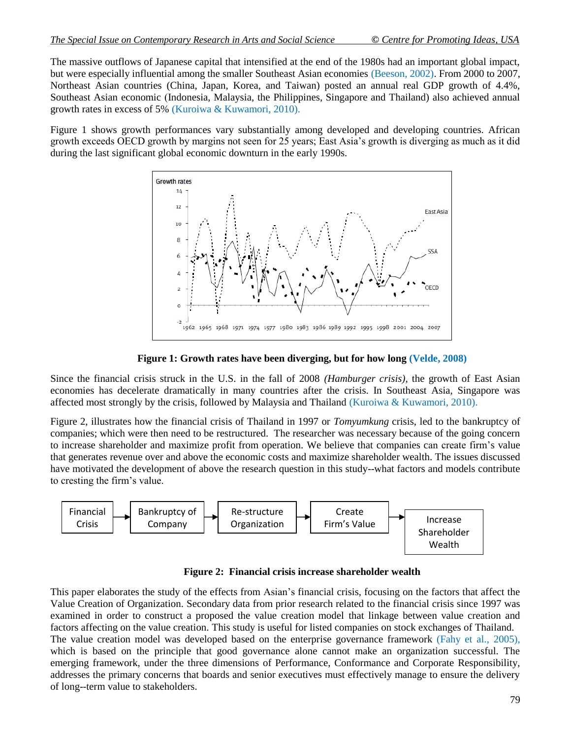The massive outflows of Japanese capital that intensified at the end of the 1980s had an important global impact, but were especially influential among the smaller Southeast Asian economies (Beeson, 2002). From 2000 to 2007, Northeast Asian countries (China, Japan, Korea, and Taiwan) posted an annual real GDP growth of 4.4%, Southeast Asian economic (Indonesia, Malaysia, the Philippines, Singapore and Thailand) also achieved annual growth rates in excess of 5% (Kuroiwa & Kuwamori, 2010).

Figure 1 shows growth performances vary substantially among developed and developing countries. African growth exceeds OECD growth by margins not seen for 25 years; East Asia's growth is diverging as much as it did during the last significant global economic downturn in the early 1990s.



**Figure 1: Growth rates have been diverging, but for how long (Velde, 2008)**

Since the financial crisis struck in the U.S. in the fall of 2008 *(Hamburger crisis)*, the growth of East Asian economies has decelerate dramatically in many countries after the crisis. In Southeast Asia, Singapore was affected most strongly by the crisis, followed by Malaysia and Thailand (Kuroiwa & Kuwamori, 2010).

Figure 2, illustrates how the financial crisis of Thailand in 1997 or *Tomyumkung* crisis, led to the bankruptcy of companies; which were then need to be restructured. The researcher was necessary because of the going concern to increase shareholder and maximize profit from operation. We believe that companies can create firm's value that generates revenue over and above the economic costs and maximize shareholder wealth. The issues discussed have motivated the development of above the research question in this study--what factors and models contribute to cresting the firm's value.



**Figure 2: Financial crisis increase shareholder wealth**

This paper elaborates the study of the effects from Asian's financial crisis, focusing on the factors that affect the Value Creation of Organization. Secondary data from prior research related to the financial crisis since 1997 was examined in order to construct a proposed the value creation model that linkage between value creation and factors affecting on the value creation. This study is useful for listed companies on stock exchanges of Thailand. The value creation model was developed based on the enterprise governance framework (Fahy et al., 2005), which is based on the principle that good governance alone cannot make an organization successful. The emerging framework, under the three dimensions of Performance, Conformance and Corporate Responsibility, addresses the primary concerns that boards and senior executives must effectively manage to ensure the delivery of long--term value to stakeholders.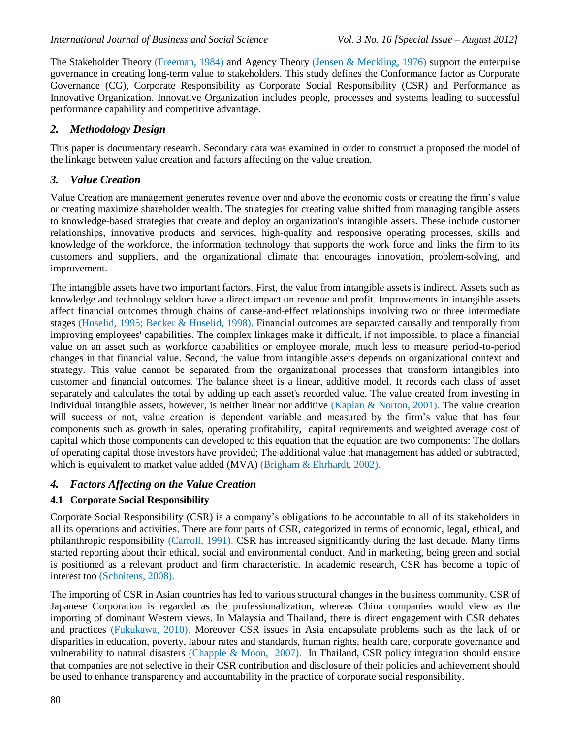The Stakeholder Theory (Freeman, 1984) and Agency Theory (Jensen & Meckling, 1976) support the enterprise governance in creating long-term value to stakeholders. This study defines the Conformance factor as Corporate Governance (CG), Corporate Responsibility as Corporate Social Responsibility (CSR) and Performance as Innovative Organization. Innovative Organization includes people, processes and systems leading to successful performance capability and competitive advantage.

### *2. Methodology Design*

This paper is documentary research. Secondary data was examined in order to construct a proposed the model of the linkage between value creation and factors affecting on the value creation.

#### *3. Value Creation*

Value Creation are management generates revenue over and above the economic costs or creating the firm's value or creating maximize shareholder wealth. The strategies for creating value shifted from managing tangible assets to knowledge-based strategies that create and deploy an organization's intangible assets. These include customer relationships, innovative products and services, high-quality and responsive operating processes, skills and knowledge of the workforce, the information technology that supports the work force and links the firm to its customers and suppliers, and the organizational climate that encourages innovation, problem-solving, and improvement.

The intangible assets have two important factors. First, the value from intangible assets is indirect. Assets such as knowledge and technology seldom have a direct impact on revenue and profit. Improvements in intangible assets affect financial outcomes through chains of cause-and-effect relationships involving two or three intermediate stages (Huselid, 1995; Becker & Huselid, 1998). Financial outcomes are separated causally and temporally from improving employees' capabilities. The complex linkages make it difficult, if not impossible, to place a financial value on an asset such as workforce capabilities or employee morale, much less to measure period-to-period changes in that financial value. Second, the value from intangible assets depends on organizational context and strategy. This value cannot be separated from the organizational processes that transform intangibles into customer and financial outcomes. The balance sheet is a linear, additive model. It records each class of asset separately and calculates the total by adding up each asset's recorded value. The value created from investing in individual intangible assets, however, is neither linear nor additive (Kaplan & Norton, 2001). The value creation will success or not, value creation is dependent variable and measured by the firm's value that has four components such as growth in sales, operating profitability, capital requirements and weighted average cost of capital which those components can developed to this equation that the equation are two components: The dollars of operating capital those investors have provided; The additional value that management has added or subtracted, which is equivalent to market value added (MVA) (Brigham & Ehrhardt, 2002).

# *4. Factors Affecting on the Value Creation*

# **4.1 Corporate Social Responsibility**

Corporate Social Responsibility (CSR) is a company's obligations to be accountable to all of its stakeholders in all its operations and activities. There are four parts of CSR, categorized in terms of economic, legal, ethical, and philanthropic responsibility (Carroll, 1991). CSR has increased significantly during the last decade. Many firms started reporting about their ethical, social and environmental conduct. And in marketing, being green and social is positioned as a relevant product and firm characteristic. In academic research, CSR has become a topic of interest too (Scholtens, 2008).

The importing of CSR in Asian countries has led to various structural changes in the business community. CSR of Japanese Corporation is regarded as the professionalization, whereas China companies would view as the importing of dominant Western views. In Malaysia and Thailand, there is direct engagement with CSR debates and practices (Fukukawa, 2010). Moreover CSR issues in Asia encapsulate problems such as the lack of or disparities in education, poverty, labour rates and standards, human rights, health care, corporate governance and vulnerability to natural disasters (Chapple & Moon, 2007). In Thailand, CSR policy integration should ensure that companies are not selective in their CSR contribution and disclosure of their policies and achievement should be used to enhance transparency and accountability in the practice of corporate social responsibility.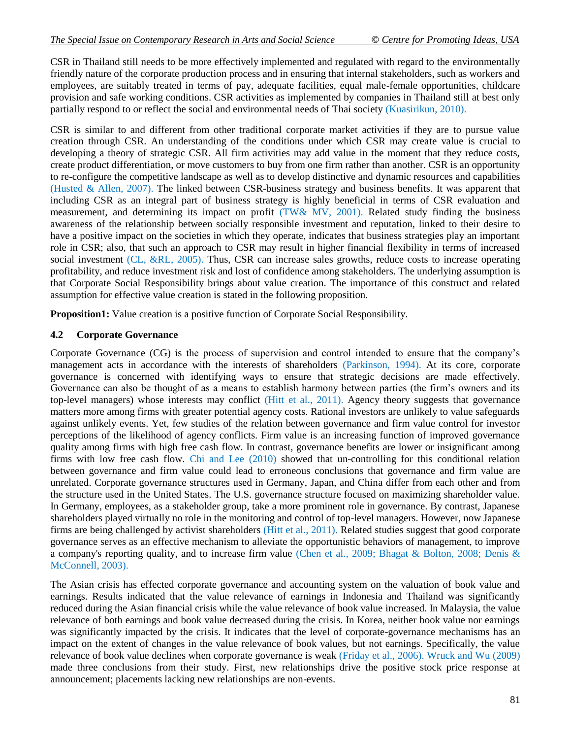CSR in Thailand still needs to be more effectively implemented and regulated with regard to the environmentally friendly nature of the corporate production process and in ensuring that internal stakeholders, such as workers and employees, are suitably treated in terms of pay, adequate facilities, equal male-female opportunities, childcare provision and safe working conditions. CSR activities as implemented by companies in Thailand still at best only partially respond to or reflect the social and environmental needs of Thai society (Kuasirikun, 2010).

CSR is similar to and different from other traditional corporate market activities if they are to pursue value creation through CSR. An understanding of the conditions under which CSR may create value is crucial to developing a theory of strategic CSR. All firm activities may add value in the moment that they reduce costs, create product differentiation, or move customers to buy from one firm rather than another. CSR is an opportunity to re-configure the competitive landscape as well as to develop distinctive and dynamic resources and capabilities (Husted & Allen, 2007). The linked between CSR-business strategy and business benefits. It was apparent that including CSR as an integral part of business strategy is highly beneficial in terms of CSR evaluation and measurement, and determining its impact on profit (TW& MV, 2001). Related study finding the business awareness of the relationship between socially responsible investment and reputation, linked to their desire to have a positive impact on the societies in which they operate, indicates that business strategies play an important role in CSR; also, that such an approach to CSR may result in higher financial flexibility in terms of increased social investment (CL, &RL, 2005). Thus, CSR can increase sales growths, reduce costs to increase operating profitability, and reduce investment risk and lost of confidence among stakeholders. The underlying assumption is that Corporate Social Responsibility brings about value creation. The importance of this construct and related assumption for effective value creation is stated in the following proposition.

**Proposition1:** Value creation is a positive function of Corporate Social Responsibility.

#### **4.2 Corporate Governance**

Corporate Governance (CG) is the process of supervision and control intended to ensure that the company's management acts in accordance with the interests of shareholders (Parkinson, 1994). At its core, corporate governance is concerned with identifying ways to ensure that strategic decisions are made effectively. Governance can also be thought of as a means to establish harmony between parties (the firm's owners and its top-level managers) whose interests may conflict (Hitt et al., 2011). Agency theory suggests that governance matters more among firms with greater potential agency costs. Rational investors are unlikely to value safeguards against unlikely events. Yet, few studies of the relation between governance and firm value control for investor perceptions of the likelihood of agency conflicts. Firm value is an increasing function of improved governance quality among firms with high free cash flow. In contrast, governance benefits are lower or insignificant among firms with low free cash flow. Chi and Lee (2010) showed that un-controlling for this conditional relation between governance and firm value could lead to erroneous conclusions that governance and firm value are unrelated. Corporate governance structures used in Germany, Japan, and China differ from each other and from the structure used in the United States. The U.S. governance structure focused on maximizing shareholder value. In Germany, employees, as a stakeholder group, take a more prominent role in governance. By contrast, Japanese shareholders played virtually no role in the monitoring and control of top-level managers. However, now Japanese firms are being challenged by activist shareholders (Hitt et al., 2011). Related studies suggest that good corporate governance serves as an effective mechanism to alleviate the opportunistic behaviors of management, to improve a company's reporting quality, and to increase firm value (Chen et al., 2009; Bhagat & Bolton, 2008; Denis & McConnell, 2003).

The Asian crisis has effected corporate governance and accounting system on the valuation of book value and earnings. Results indicated that the value relevance of earnings in Indonesia and Thailand was significantly reduced during the Asian financial crisis while the value relevance of book value increased. In Malaysia, the value relevance of both earnings and book value decreased during the crisis. In Korea, neither book value nor earnings was significantly impacted by the crisis. It indicates that the level of corporate-governance mechanisms has an impact on the extent of changes in the value relevance of book values, but not earnings. Specifically, the value relevance of book value declines when corporate governance is weak (Friday et al., 2006). Wruck and Wu (2009) made three conclusions from their study. First, new relationships drive the positive stock price response at announcement; placements lacking new relationships are non-events.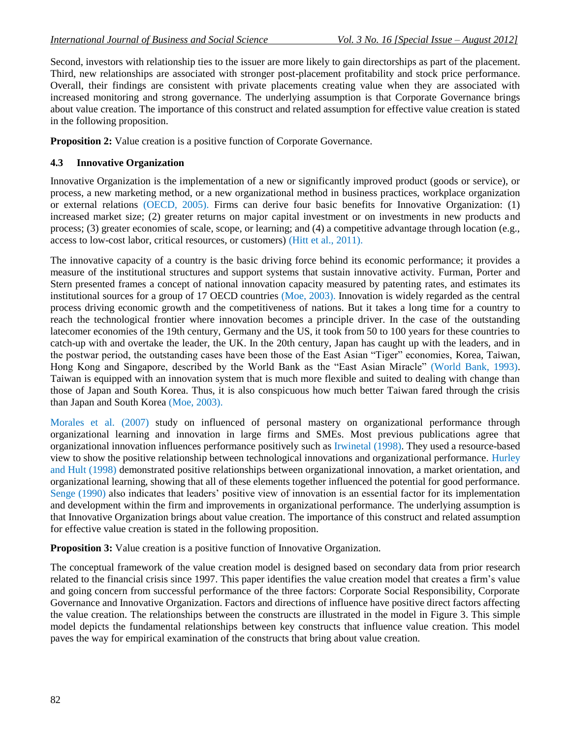Second, investors with relationship ties to the issuer are more likely to gain directorships as part of the placement. Third, new relationships are associated with stronger post-placement profitability and stock price performance. Overall, their findings are consistent with private placements creating value when they are associated with increased monitoring and strong governance. The underlying assumption is that Corporate Governance brings about value creation. The importance of this construct and related assumption for effective value creation is stated in the following proposition.

**Proposition 2:** Value creation is a positive function of Corporate Governance.

#### **4.3 Innovative Organization**

Innovative Organization is the implementation of a new or significantly improved product (goods or service), or process, a new marketing method, or a new organizational method in business practices, workplace organization or external relations (OECD, 2005). Firms can derive four basic benefits for Innovative Organization: (1) increased market size; (2) greater returns on major capital investment or on investments in new products and process; (3) greater economies of scale, scope, or learning; and (4) a competitive advantage through location (e.g., access to low-cost labor, critical resources, or customers) (Hitt et al., 2011).

The innovative capacity of a country is the basic driving force behind its economic performance; it provides a measure of the institutional structures and support systems that sustain innovative activity. Furman, Porter and Stern presented frames a concept of national innovation capacity measured by patenting rates, and estimates its institutional sources for a group of 17 OECD countries (Moe, 2003). Innovation is widely regarded as the central process driving economic growth and the competitiveness of nations. But it takes a long time for a country to reach the technological frontier where innovation becomes a principle driver. In the case of the outstanding latecomer economies of the 19th century, Germany and the US, it took from 50 to 100 years for these countries to catch-up with and overtake the leader, the UK. In the 20th century, Japan has caught up with the leaders, and in the postwar period, the outstanding cases have been those of the East Asian "Tiger" economies, Korea, Taiwan, Hong Kong and Singapore, described by the World Bank as the "East Asian Miracle" (World Bank, 1993). Taiwan is equipped with an innovation system that is much more flexible and suited to dealing with change than those of Japan and South Korea. Thus, it is also conspicuous how much better Taiwan fared through the crisis than Japan and South Korea (Moe, 2003).

Morales et al. (2007) study on influenced of personal mastery on organizational performance through organizational learning and innovation in large firms and SMEs. Most previous publications agree that organizational innovation influences performance positively such as Irwinetal (1998). They used a resource-based view to show the positive relationship between technological innovations and organizational performance. Hurley and Hult (1998) demonstrated positive relationships between organizational innovation, a market orientation, and organizational learning, showing that all of these elements together influenced the potential for good performance. Senge (1990) also indicates that leaders' positive view of innovation is an essential factor for its implementation and development within the firm and improvements in organizational performance. The underlying assumption is that Innovative Organization brings about value creation. The importance of this construct and related assumption for effective value creation is stated in the following proposition.

**Proposition 3:** Value creation is a positive function of Innovative Organization.

The conceptual framework of the value creation model is designed based on secondary data from prior research related to the financial crisis since 1997. This paper identifies the value creation model that creates a firm's value and going concern from successful performance of the three factors: Corporate Social Responsibility, Corporate Governance and Innovative Organization. Factors and directions of influence have positive direct factors affecting the value creation. The relationships between the constructs are illustrated in the model in Figure 3. This simple model depicts the fundamental relationships between key constructs that influence value creation. This model paves the way for empirical examination of the constructs that bring about value creation.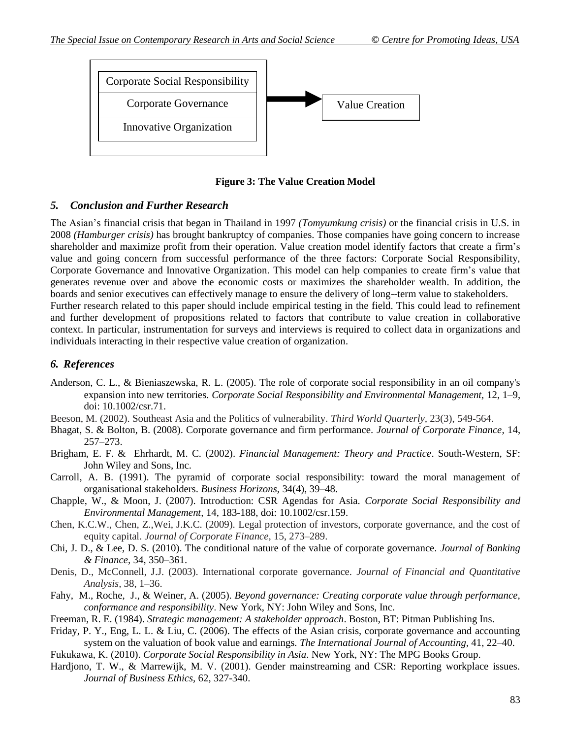

**Figure 3: The Value Creation Model**

#### *5. Conclusion and Further Research*

The Asian's financial crisis that began in Thailand in 1997 *(Tomyumkung crisis)* or the financial crisis in U.S. in 2008 *(Hamburger crisis)* has brought bankruptcy of companies. Those companies have going concern to increase shareholder and maximize profit from their operation. Value creation model identify factors that create a firm's value and going concern from successful performance of the three factors: Corporate Social Responsibility, Corporate Governance and Innovative Organization. This model can help companies to create firm's value that generates revenue over and above the economic costs or maximizes the shareholder wealth. In addition, the boards and senior executives can effectively manage to ensure the delivery of long--term value to stakeholders. Further research related to this paper should include empirical testing in the field. This could lead to refinement

and further development of propositions related to factors that contribute to value creation in collaborative context. In particular, instrumentation for surveys and interviews is required to collect data in organizations and individuals interacting in their respective value creation of organization.

# *6. References*

- Anderson, C. L., & Bieniaszewska, R. L. (2005). The role of corporate social responsibility in an oil company's expansion into new territories. *Corporate Social Responsibility and Environmental Management,* 12, 1–9, doi: 10.1002/csr.71.
- Beeson, M. (2002). Southeast Asia and the Politics of vulnerability. *Third World Quarterly,* 23(3), 549-564.
- Bhagat, S. & Bolton, B. (2008). Corporate governance and firm performance. *Journal of Corporate Finance,* 14, 257–273.
- Brigham, E. F. & Ehrhardt, M. C. (2002). *Financial Management: Theory and Practice*. South-Western, SF: John Wiley and Sons, Inc.
- Carroll, A. B. (1991). The pyramid of corporate social responsibility: toward the moral management of organisational stakeholders. *Business Horizons,* 34(4), 39–48.
- Chapple, W., & Moon, J. (2007). Introduction: CSR Agendas for Asia. *Corporate Social Responsibility and Environmental Management,* 14, 183-188, doi: 10.1002/csr.159.
- Chen, K.C.W., Chen, Z.,Wei, J.K.C. (2009). Legal protection of investors, corporate governance, and the cost of equity capital. *Journal of Corporate Finance,* 15, 273–289.
- Chi, J. D., & Lee, D. S. (2010). The conditional nature of the value of corporate governance. *Journal of Banking & Finance,* 34, 350–361.
- Denis, D., McConnell, J.J. (2003). International corporate governance. *Journal of Financial and Quantitative Analysis,* 38, 1–36.
- Fahy, M., Roche, J., & Weiner, A. (2005). *Beyond governance: Creating corporate value through performance, conformance and responsibility*. New York, NY: John Wiley and Sons, Inc.
- Freeman, R. E. (1984). *Strategic management: A stakeholder approach*. Boston, BT: Pitman Publishing Ins.
- Friday, P. Y., Eng, L. L. & Liu, C. (2006). The effects of the Asian crisis, corporate governance and accounting system on the valuation of book value and earnings. *The International Journal of Accounting,* 41, 22–40.
- Fukukawa, K. (2010). *Corporate Social Responsibility in Asia*. New York, NY: The MPG Books Group.
- Hardjono, T. W., & Marrewijk, M. V. (2001). Gender mainstreaming and CSR: Reporting workplace issues. *Journal of Business Ethics,* 62, 327-340.